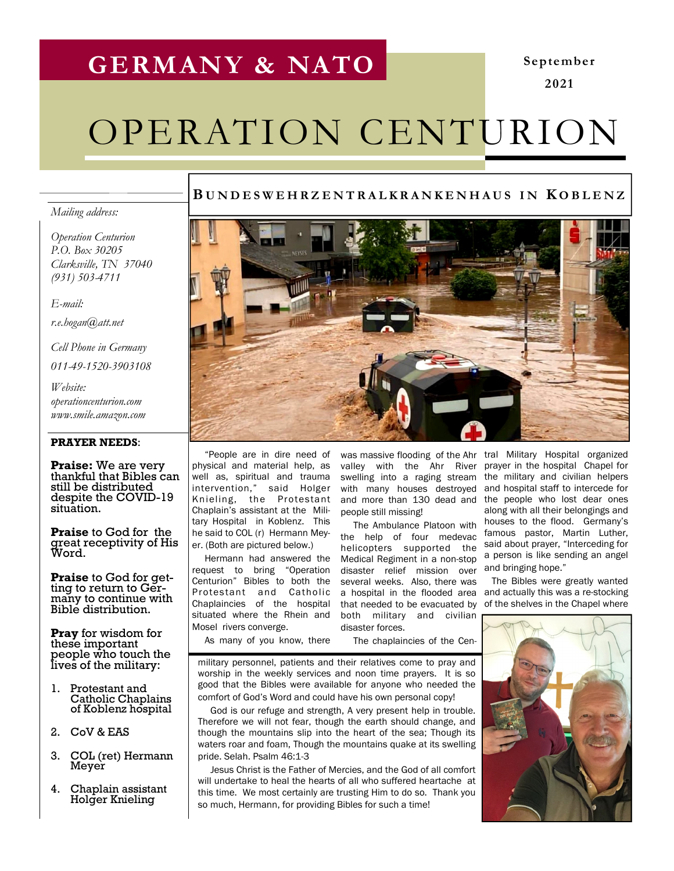## GERMANY & NATO

September 2021

# OPERATION CENTURION

#### BUNDESWEHRZENTRALKRANKENHAUS IN KOBLENZ

#### Mailing address:

Operation Centurion P.O. Box 30205 Clarksville, TN 37040 (931) 503-4711

E-mail:

r.e.hogan@att.net

Cell Phone in Germany

011-49-1520-3903108

Website: operationcenturion.com www.smile.amazon.com

#### PRAYER NEEDS:

Praise: We are very thankful that Bibles can still be distributed despite the COVID-19 situation.

Praise to God for the great receptivity of His Word.

**Praise** to God for getting to return to Germany to continue with Bible distribution.

**Pray** for wisdom for these important people who touch the lives of the military:

- 1. Protestant and Catholic Chaplains of Koblenz hospital
- 2. CoV & EAS
- 3. COL (ret) Hermann Meyer
- 4. Chaplain assistant Holger Knieling



 "People are in dire need of physical and material help, as well as, spiritual and trauma intervention," said Holger Knieling, the Protestant Chaplain's assistant at the Military Hospital in Koblenz. This he said to COL (r) Hermann Meyer. (Both are pictured below.)

 Hermann had answered the request to bring "Operation Centurion" Bibles to both the Protestant and Catholic Chaplaincies of the hospital situated where the Rhein and Mosel rivers converge.

As many of you know, there

with many houses destroyed and more than 130 dead and people still missing!

 The Ambulance Platoon with the help of four medevac helicopters supported the Medical Regiment in a non-stop disaster relief mission over several weeks. Also, there was that needed to be evacuated by both military and civilian disaster forces.

The chaplaincies of the Cen-

military personnel, patients and their relatives come to pray and worship in the weekly services and noon time prayers. It is so good that the Bibles were available for anyone who needed the comfort of God's Word and could have his own personal copy!

 God is our refuge and strength, A very present help in trouble. Therefore we will not fear, though the earth should change, and though the mountains slip into the heart of the sea; Though its waters roar and foam, Though the mountains quake at its swelling pride. Selah. Psalm 46:1-3

 Jesus Christ is the Father of Mercies, and the God of all comfort will undertake to heal the hearts of all who suffered heartache at this time. We most certainly are trusting Him to do so. Thank you so much, Hermann, for providing Bibles for such a time!

was massive flooding of the Ahr tral Military Hospital organized valley with the Ahr River prayer in the hospital Chapel for swelling into a raging stream the military and civilian helpers and hospital staff to intercede for the people who lost dear ones along with all their belongings and houses to the flood. Germany's famous pastor, Martin Luther, said about prayer, "Interceding for a person is like sending an angel and bringing hope."

a hospital in the flooded area and actually this was a re-stocking The Bibles were greatly wanted of the shelves in the Chapel where